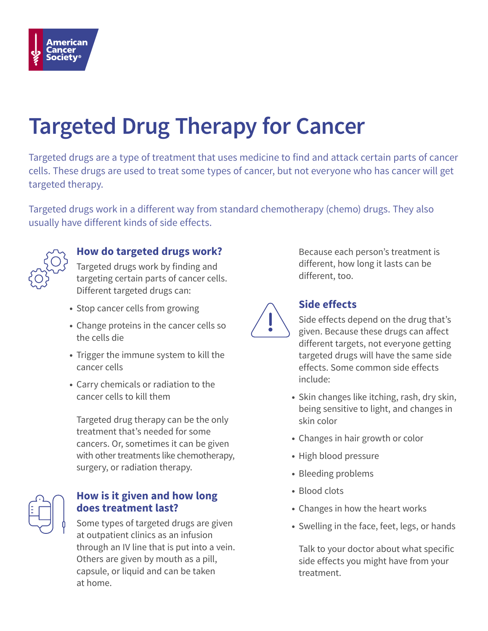

# **Targeted Drug Therapy for Cancer**

Targeted drugs are a type of treatment that uses medicine to find and attack certain parts of cancer cells. These drugs are used to treat some types of cancer, but not everyone who has cancer will get targeted therapy.

Targeted drugs work in a different way from standard chemotherapy (chemo) drugs. They also usually have different kinds of side effects.



# **How do targeted drugs work?**

Targeted drugs work by finding and targeting certain parts of cancer cells. Different targeted drugs can:

- Stop cancer cells from growing
- Change proteins in the cancer cells so the cells die
- Trigger the immune system to kill the cancer cells
- Carry chemicals or radiation to the cancer cells to kill them

Targeted drug therapy can be the only treatment that's needed for some cancers. Or, sometimes it can be given with other treatments like chemotherapy, surgery, or radiation therapy.

### **How is it given and how long does treatment last?**

Some types of targeted drugs are given at outpatient clinics as an infusion through an IV line that is put into a vein. Others are given by mouth as a pill, capsule, or liquid and can be taken at home.

Because each person's treatment is different, how long it lasts can be different, too.



# **Side effects**

Side effects depend on the drug that's given. Because these drugs can affect different targets, not everyone getting targeted drugs will have the same side effects. Some common side effects include:

- Skin changes like itching, rash, dry skin, being sensitive to light, and changes in skin color
- Changes in hair growth or color
- High blood pressure
- Bleeding problems
- Blood clots
- Changes in how the heart works
- Swelling in the face, feet, legs, or hands

Talk to your doctor about what specific side effects you might have from your treatment.